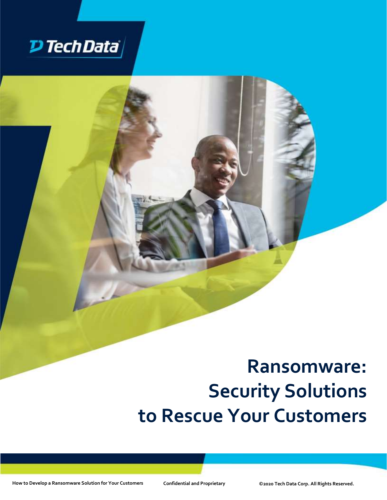

# **Ransomware: Security Solutions to Rescue Your Customers**

**How to Develop a Ransomware Solution for Your Customers Confidential and Proprietary ©2020 Tech Data Corp. All Rights Reserved.**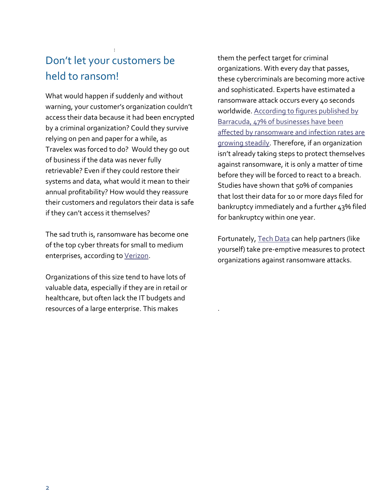### : Don't let your customers be held to ransom!

What would happen if suddenly and without warning, your customer's organization couldn't access their data because it had been encrypted by a criminal organization? Could they survive relying on pen and paper for a while, as Travelex was forced to do? Would they go out of business if the data was never fully retrievable? Even if they could restore their systems and data, what would it mean to their annual profitability? How would they reassure their customers and regulators their data is safe if they can't access it themselves?

The sad truth is, ransomware has become one of the top cyber threats for small to medium enterprises, according to [Verizon.](https://enterprise.verizon.com/resources/reports/dbir/)

Organizations of this size tend to have lots of valuable data, especially if they are in retail or healthcare, but often lack the IT budgets and resources of a large enterprise. This makes

them the perfect target for criminal organizations. With every day that passes, these cybercriminals are becoming more active and sophisticated. Experts have estimated a ransomware attack occurs every 40 seconds worldwide. [According to figures published by](https://www.barracuda.com/glossary/ransomware#:~:text=Detect%20Ransomware&text=In%20fact%2C%2047%25%20of%20all,have%20been%20delivered%20by%20email.&text=The%20Barracuda%20Vulnerability%20Manager%20will,for%20possible%20vulnerabilities%20including%20ransomware)  [Barracuda, 47% of businesses have been](https://www.barracuda.com/glossary/ransomware#:~:text=Detect%20Ransomware&text=In%20fact%2C%2047%25%20of%20all,have%20been%20delivered%20by%20email.&text=The%20Barracuda%20Vulnerability%20Manager%20will,for%20possible%20vulnerabilities%20including%20ransomware)  affected by ransomware and infection rates are [growing steadily.](https://www.barracuda.com/glossary/ransomware#:~:text=Detect%20Ransomware&text=In%20fact%2C%2047%25%20of%20all,have%20been%20delivered%20by%20email.&text=The%20Barracuda%20Vulnerability%20Manager%20will,for%20possible%20vulnerabilities%20including%20ransomware) Therefore, if an organization isn't already taking steps to protect themselves against ransomware, it is only a matter of time before they will be forced to react to a breach. Studies have shown that 50% of companies that lost their data for 10 or more days filed for bankruptcy immediately and a further 43% filed for bankruptcy within one year.

Fortunately, [Tech Data](https://techdata.com/security) can help partners (like yourself) take pre-emptive measures to protect organizations against ransomware attacks.

.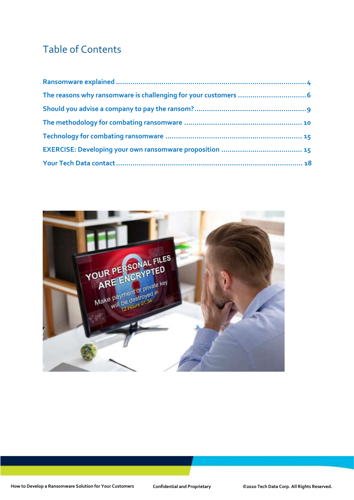# Table of Contents

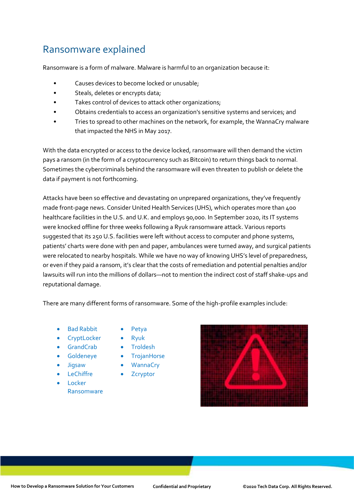### <span id="page-3-0"></span>Ransomware explained

Ransomware is a form of malware. Malware is harmful to an organization because it:

- Causes devices to become locked or unusable;
- Steals, deletes or encrypts data;
- Takes control of devices to attack other organizations;
- Obtains credentials to access an organization's sensitive systems and services; and
- Tries to spread to other machines on the network, for example, the WannaCry malware that impacted the NHS in May 2017.

With the data encrypted or access to the device locked, ransomware will then demand the victim pays a ransom (in the form of a cryptocurrency such as Bitcoin) to return things back to normal. Sometimes the cybercriminals behind the ransomware will even threaten to publish or delete the data if payment is not forthcoming.

Attacks have been so effective and devastating on unprepared organizations, they've frequently made front-page news. Consider United Health Services (UHS), which operates more than 400 healthcare facilities in the U.S. and U.K. and employs 90,000. In September 2020, its IT systems were knocked offline for three weeks following a Ryuk ransomware attack. Various reports suggested that its 250 U.S. facilities were left without access to computer and phone systems, patients' charts were done with pen and paper, ambulances were turned away, and surgical patients were relocated to nearby hospitals. While we have no way of knowing UHS's level of preparedness, or even if they paid a ransom, it's clear that the costs of remediation and potential penalties and/or lawsuits will run into the millions of dollars—not to mention the indirect cost of staff shake-ups and reputational damage.

There are many different forms of ransomware. Some of the high-profile examples include:

- Bad Rabbit
- **CryptLocker**
- **GrandCrab**
- Goldeneye
- Jigsaw
- **LeChiffre**
- Locker
	- Ransomware
- Petya
- Ryuk
- Troldesh
- TrojanHorse
- WannaCry
- **Zcryptor**

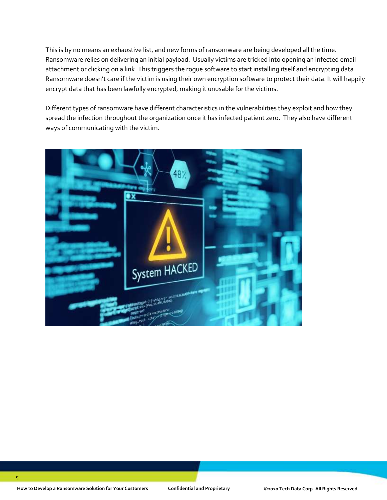This is by no means an exhaustive list, and new forms of ransomware are being developed all the time. Ransomware relies on delivering an initial payload. Usually victims are tricked into opening an infected email attachment or clicking on a link. This triggers the rogue software to start installing itself and encrypting data. Ransomware doesn't care if the victim is using their own encryption software to protect their data. It will happily encrypt data that has been lawfully encrypted, making it unusable for the victims.

Different types of ransomware have different characteristics in the vulnerabilities they exploit and how they spread the infection throughout the organization once it has infected patient zero. They also have different ways of communicating with the victim.

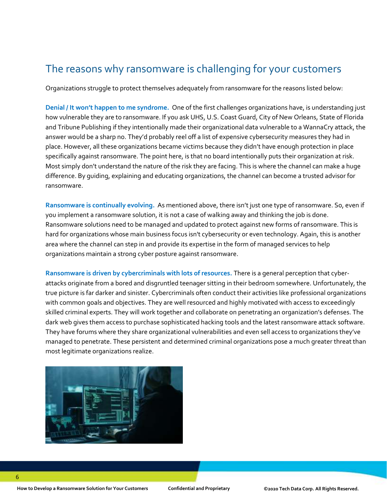## The reasons why ransomware is challenging for your customers

<span id="page-5-0"></span>Organizations struggle to protect themselves adequately from ransomware for the reasons listed below:

**Denial / It won't happen to me syndrome.** One of the first challenges organizations have, is understanding just how vulnerable they are to ransomware. If you ask UHS, U.S. Coast Guard, City of New Orleans, State of Florida and Tribune Publishing if they intentionally made their organizational data vulnerable to a WannaCry attack, the answer would be a sharp no. They'd probably reel off a list of expensive cybersecurity measures they had in place. However, all these organizations became victims because they didn't have enough protection in place specifically against ransomware. The point here, is that no board intentionally puts their organization at risk. Most simply don't understand the nature of the risk they are facing. This is where the channel can make a huge difference. By guiding, explaining and educating organizations, the channel can become a trusted advisor for ransomware.

**Ransomware is continually evolving.** As mentioned above, there isn't just one type of ransomware. So, even if you implement a ransomware solution, it is not a case of walking away and thinking the job is done. Ransomware solutions need to be managed and updated to protect against new forms of ransomware. This is hard for organizations whose main business focus isn't cybersecurity or even technology. Again, this is another area where the channel can step in and provide its expertise in the form of managed services to help organizations maintain a strong cyber posture against ransomware.

**Ransomware is driven by cybercriminals with lots of resources.** There is a general perception that cyberattacks originate from a bored and disgruntled teenager sitting in their bedroom somewhere. Unfortunately, the true picture is far darker and sinister. Cybercriminals often conduct their activities like professional organizations with common goals and objectives. They are well resourced and highly motivated with access to exceedingly skilled criminal experts. They will work together and collaborate on penetrating an organization's defenses. The dark web gives them access to purchase sophisticated hacking tools and the latest ransomware attack software. They have forums where they share organizational vulnerabilities and even sell access to organizations they've managed to penetrate. These persistent and determined criminal organizations pose a much greater threat than most legitimate organizations realize.

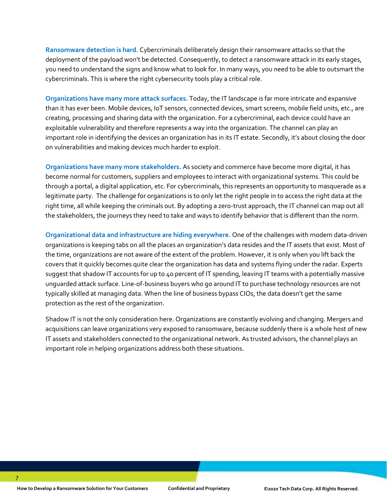**Ransomware detection is hard.** Cybercriminals deliberately design their ransomware attacks so that the deployment of the payload won't be detected. Consequently, to detect a ransomware attack in its early stages, you need to understand the signs and know what to look for. In many ways, you need to be able to outsmart the cybercriminals. This is where the right cybersecurity tools play a critical role.

**Organizations have many more attack surfaces.** Today, the IT landscape is far more intricate and expansive than it has ever been. Mobile devices, IoT sensors, connected devices, smart screens, mobile field units, etc., are creating, processing and sharing data with the organization. For a cybercriminal, each device could have an exploitable vulnerability and therefore represents a way into the organization. The channel can play an important role in identifying the devices an organization has in its IT estate. Secondly, it's about closing the door on vulnerabilities and making devices much harder to exploit.

**Organizations have many more stakeholders.** As society and commerce have become more digital, it has become normal for customers, suppliers and employees to interact with organizational systems. This could be through a portal, a digital application, etc. For cybercriminals, this represents an opportunity to masquerade as a legitimate party. The challenge for organizations is to only let the right people in to access the right data at the right time, all while keeping the criminals out. By adopting a zero-trust approach, the IT channel can map out all the stakeholders, the journeys they need to take and ways to identify behavior that is different than the norm.

**Organizational data and infrastructure are hiding everywhere.** One of the challenges with modern data-driven organizations is keeping tabs on all the places an organization's data resides and the IT assets that exist. Most of the time, organizations are not aware of the extent of the problem. However, it is only when you lift back the covers that it quickly becomes quite clear the organization has data and systems flying under the radar. Experts suggest that shadow IT accounts for up to 40 percent of IT spending, leaving IT teams with a potentially massive unguarded attack surface. Line-of-business buyers who go around IT to purchase technology resources are not typically skilled at managing data. When the line of business bypass CIOs, the data doesn't get the same protection as the rest of the organization.

Shadow IT is not the only consideration here. Organizations are constantly evolving and changing. Mergers and acquisitions can leave organizations very exposed to ransomware, because suddenly there is a whole host of new IT assets and stakeholders connected to the organizational network. As trusted advisors, the channel plays an important role in helping organizations address both these situations.

7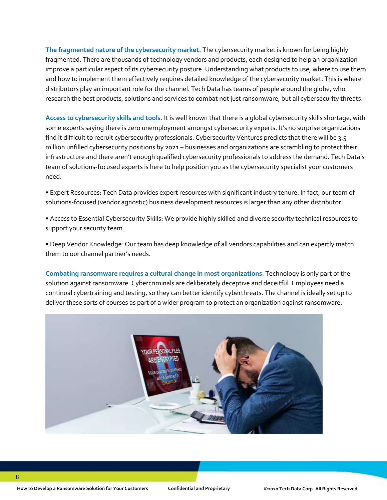**The fragmented nature of the cybersecurity market.** The cybersecurity market is known for being highly fragmented. There are thousands of technology vendors and products, each designed to help an organization improve a particular aspect of its cybersecurity posture. Understanding what products to use, where to use them and how to implement them effectively requires detailed knowledge of the cybersecurity market. This is where distributors play an important role for the channel. Tech Data has teams of people around the globe, who research the best products, solutions and services to combat not just ransomware, but all cybersecurity threats.

**Access to cybersecurity skills and tools.** It is well known that there is a global cybersecurity skills shortage, with some experts saying there is zero unemployment amongst cybersecurity experts. It's no surprise organizations find it difficult to recruit cybersecurity professionals. Cybersecurity Ventures predicts that there will be 3.5 million unfilled cybersecurity positions by 2021 – businesses and organizations are scrambling to protect their infrastructure and there aren't enough qualified cybersecurity professionals to address the demand. Tech Data's team of solutions-focused experts is here to help position you as the cybersecurity specialist your customers need.

• Expert Resources: Tech Data provides expert resources with significant industry tenure. In fact, our team of solutions-focused (vendor agnostic) business development resources is larger than any other distributor.

• Access to Essential Cybersecurity Skills: We provide highly skilled and diverse security technical resources to support your security team.

• Deep Vendor Knowledge: Our team has deep knowledge of all vendors capabilities and can expertly match them to our channel partner's needs.

**Combating ransomware requires a cultural change in most organizations**. Technology is only part of the solution against ransomware. Cybercriminals are deliberately deceptive and deceitful. Employees need a continual cybertraining and testing, so they can better identify cyberthreats. The channel is ideally set up to deliver these sorts of courses as part of a wider program to protect an organization against ransomware.

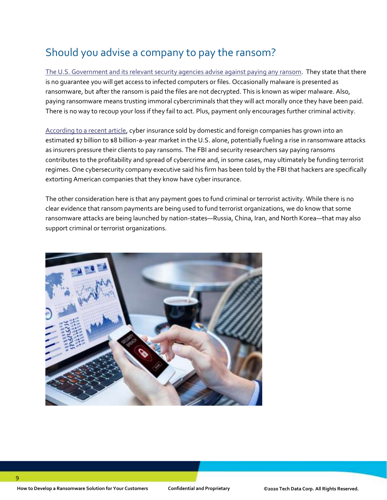# Should you advise a company to pay the ransom?

<span id="page-8-0"></span>[The U.S. Government and its relevant security agencies](https://www.cisa.gov/sites/default/files/publications/CISA_MS-ISAC_Ransomware%20Guide_S508C.pdf) advise against paying any ransom. They state that there is no guarantee you will get access to infected computers or files. Occasionally malware is presented as ransomware, but after the ransom is paid the files are not decrypted. This is known as wiper malware. Also, paying ransomware means trusting immoral cybercriminals that they will act morally once they have been paid. There is no way to recoup your loss if they fail to act. Plus, payment only encourages further criminal activity.

[According to a recent article,](https://www.propublica.org/article/the-extortion-economy-how-insurance-companies-are-fueling-a-rise-in-ransomware-attacks) cyber insurance sold by domestic and foreign companies has grown into an estimated \$7 billion to \$8 billion-a-year market in the U.S. alone, potentially fueling a rise in ransomware attacks as insurers pressure their clients to pay ransoms. The FBI and security researchers say paying ransoms contributes to the profitability and spread of cybercrime and, in some cases, may ultimately be funding terrorist regimes. One cybersecurity company executive said his firm has been told by the FBI that hackers are specifically extorting American companies that they know have cyber insurance.

The other consideration here is that any payment goes to fund criminal or terrorist activity. While there is no clear evidence that ransom payments are being used to fund terrorist organizations, we do know that some ransomware attacks are being launched by nation-states—Russia, China, Iran, and North Korea—that may also support criminal or terrorist organizations.

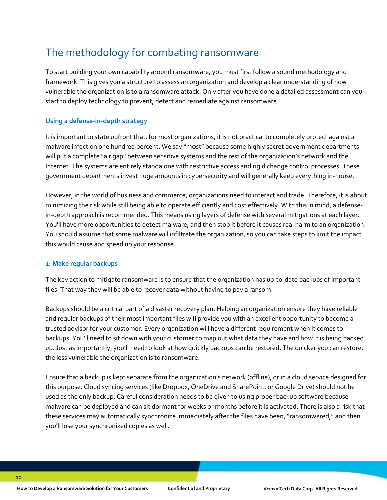# The methodology for combating ransomware

<span id="page-9-0"></span>To start building your own capability around ransomware, you must first follow a sound methodology and framework. This gives you a structure to assess an organization and develop a clear understanding of how vulnerable the organization is to a ransomware attack. Only after you have done a detailed assessment can you start to deploy technology to prevent, detect and remediate against ransomware.

#### **Using a defense-in-depth strategy**

It is important to state upfront that, for most organizations, it is not practical to completely protect against a malware infection one hundred percent. We say "most" because some highly secret government departments will put a complete "air gap" between sensitive systems and the rest of the organization's network and the Internet. The systems are entirely standalone with restrictive access and rigid change control processes. These government departments invest huge amounts in cybersecurity and will generally keep everything in-house.

However, in the world of business and commerce, organizations need to interact and trade. Therefore, it is about minimizing the risk while still being able to operate efficiently and cost effectively. With this in mind, a defensein-depth approach is recommended. This means using layers of defense with several mitigations at each layer. You'll have more opportunities to detect malware, and then stop it before it causes real harm to an organization. You should assume that some malware will infiltrate the organization, so you can take steps to limit the impact this would cause and speed up your response.

#### **1: Make regular backups**

The key action to mitigate ransomware is to ensure that the organization has up-to-date backups of important files. That way they will be able to recover data without having to pay a ransom.

Backups should be a critical part of a disaster recovery plan. Helping an organization ensure they have reliable and regular backups of their most important files will provide you with an excellent opportunity to become a trusted advisor for your customer. Every organization will have a different requirement when it comes to backups. You'll need to sit down with your customer to map out what data they have and how it is being backed up. Just as importantly, you'll need to look at how quickly backups can be restored. The quicker you can restore, the less vulnerable the organization is to ransomware.

Ensure that a backup is kept separate from the organization's network (offline), or in a cloud service designed for this purpose. Cloud syncing services (like Dropbox, OneDrive and SharePoint, or Google Drive) should not be used as the only backup. Careful consideration needs to be given to using proper backup software because malware can be deployed and can sit dormant for weeks or months before it is activated. There is also a risk that these services may automatically synchronize immediately after the files have been, "ransomwared," and then you'll lose your synchronized copies as well.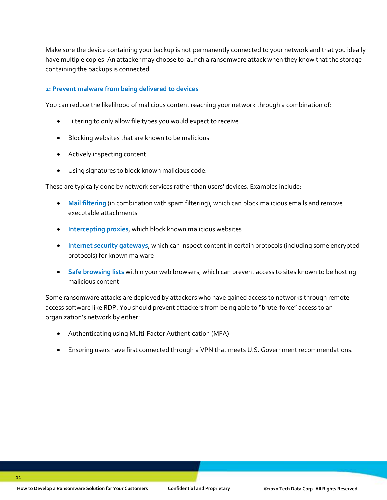Make sure the device containing your backup is not permanently connected to your network and that you ideally have multiple copies. An attacker may choose to launch a ransomware attack when they know that the storage containing the backups is connected.

#### **2: Prevent malware from being delivered to devices**

You can reduce the likelihood of malicious content reaching your network through a combination of:

- Filtering to only allow file types you would expect to receive
- Blocking websites that are known to be malicious
- Actively inspecting content
- Using signatures to block known malicious code.

These are typically done by network services rather than users' devices. Examples include:

- **Mail filtering** (in combination with spam filtering), which can block malicious emails and remove executable attachments
- **Intercepting proxies**, which block known malicious websites
- **Internet security gateways**, which can inspect content in certain protocols (including some encrypted protocols) for known malware
- **Safe browsing lists** within your web browsers, which can prevent access to sites known to be hosting malicious content.

Some ransomware attacks are deployed by attackers who have gained access to networks through remote access software like RDP. You should prevent attackers from being able to "brute-force" access to an organization's network by either:

- Authenticating using Multi-Factor Authentication (MFA)
- Ensuring users have first connected through a VPN that meets U.S. Government recommendations.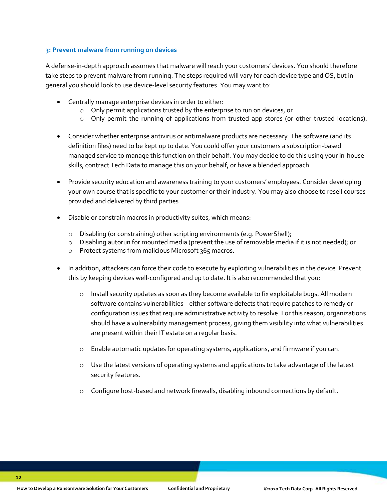#### **3: Prevent malware from running on devices**

A defense-in-depth approach assumes that malware will reach your customers' devices. You should therefore take steps to prevent malware from running. The steps required will vary for each device type and OS, but in general you should look to use device-level security features. You may want to:

- Centrally manage enterprise devices in order to either:
	- o Only permit applications trusted by the enterprise to run on devices, or
	- o Only permit the running of applications from trusted app stores (or other trusted locations).
- Consider whether enterprise antivirus or antimalware products are necessary. The software (and its definition files) need to be kept up to date. You could offer your customers a subscription-based managed service to manage this function on their behalf. You may decide to do this using your in-house skills, contract Tech Data to manage this on your behalf, or have a blended approach.
- Provide security education and awareness training to your customers' employees. Consider developing your own course that is specific to your customer or their industry. You may also choose to resell courses provided and delivered by third parties.
- Disable or constrain macros in productivity suites, which means:
	- o Disabling (or constraining) other scripting environments (e.g. PowerShell);
	- $\circ$  Disabling autorun for mounted media (prevent the use of removable media if it is not needed); or
	- o Protect systems from malicious Microsoft 365 macros.
- In addition, attackers can force their code to execute by exploiting vulnerabilities in the device. Prevent this by keeping devices well-configured and up to date. It is also recommended that you:
	- $\circ$  Install security updates as soon as they become available to fix exploitable bugs. All modern software contains vulnerabilities—either software defects that require patches to remedy or configuration issues that require administrative activity to resolve. For this reason, organizations should have a vulnerability management process, giving them visibility into what vulnerabilities are present within their IT estate on a regular basis.
	- o Enable automatic updates for operating systems, applications, and firmware if you can.
	- $\circ$  Use the latest versions of operating systems and applications to take advantage of the latest security features.
	- o Configure host-based and network firewalls, disabling inbound connections by default.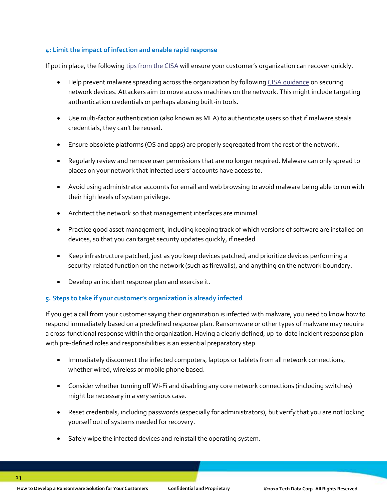#### **4: Limit the impact of infection and enable rapid response**

If put in place, the followin[g tips from the CISA](https://us-cert.cisa.gov/ncas/tips/ST18-001) will ensure your customer's organization can recover quickly.

- Help prevent malware spreading across the organization by followin[g CISA guidance](https://us-cert.cisa.gov/ncas/tips/ST18-001) on securing network devices. Attackers aim to move across machines on the network. This might include targeting authentication credentials or perhaps abusing built-in tools.
- Use multi-factor authentication (also known as MFA) to authenticate users so that if malware steals credentials, they can't be reused.
- Ensure obsolete platforms (OS and apps) are properly segregated from the rest of the network.
- Regularly review and remove user permissions that are no longer required. Malware can only spread to places on your network that infected users' accounts have access to.
- Avoid using administrator accounts for email and web browsing to avoid malware being able to run with their high levels of system privilege.
- Architect the network so that management interfaces are minimal.
- Practice good asset management, including keeping track of which versions of software are installed on devices, so that you can target security updates quickly, if needed.
- Keep infrastructure patched, just as you keep devices patched, and prioritize devices performing a security-related function on the network (such as firewalls), and anything on the network boundary.
- Develop an incident response plan and exercise it.

#### **5. Steps to take if your customer's organization is already infected**

If you get a call from your customer saying their organization is infected with malware, you need to know how to respond immediately based on a predefined response plan. Ransomware or other types of malware may require a cross-functional response within the organization. Having a clearly defined, up-to-date incident response plan with pre-defined roles and responsibilities is an essential preparatory step.

- Immediately disconnect the infected computers, laptops or tablets from all network connections, whether wired, wireless or mobile phone based.
- Consider whether turning off Wi-Fi and disabling any core network connections (including switches) might be necessary in a very serious case.
- Reset credentials, including passwords (especially for administrators), but verify that you are not locking yourself out of systems needed for recovery.
- Safely wipe the infected devices and reinstall the operating system.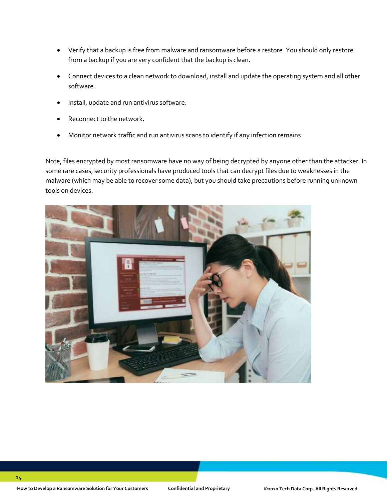- Verify that a backup is free from malware and ransomware before a restore. You should only restore from a backup if you are very confident that the backup is clean.
- Connect devices to a clean network to download, install and update the operating system and all other software.
- Install, update and run antivirus software.
- Reconnect to the network.
- Monitor network traffic and run antivirus scans to identify if any infection remains.

Note, files encrypted by most ransomware have no way of being decrypted by anyone other than the attacker. In some rare cases, security professionals have produced tools that can decrypt files due to weaknesses in the malware (which may be able to recover some data), but you should take precautions before running unknown tools on devices.

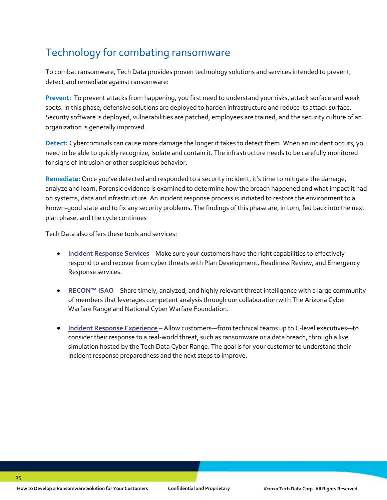# Technology for combating ransomware

<span id="page-14-0"></span>To combat ransomware, Tech Data provides proven technology solutions and services intended to prevent, detect and remediate against ransomware:

**Prevent:** To prevent attacks from happening, you first need to understand your risks, attack surface and weak spots. In this phase, defensive solutions are deployed to harden infrastructure and reduce its attack surface. Security software is deployed, vulnerabilities are patched, employees are trained, and the security culture of an organization is generally improved.

**Detect:** Cybercriminals can cause more damage the longer it takes to detect them. When an incident occurs, you need to be able to quickly recognize, isolate and contain it. The infrastructure needs to be carefully monitored for signs of intrusion or other suspicious behavior.

**Remediate:** Once you've detected and responded to a security incident, it's time to mitigate the damage, analyze and learn. Forensic evidence is examined to determine how the breach happened and what impact it had on systems, data and infrastructure. An incident response process is initiated to restore the environment to a known-good state and to fix any security problems. The findings of this phase are, in turn, fed back into the next plan phase, and the cycle continues

Tech Data also offers these tools and services:

- **[Incident Response Services](https://cyberrange.techdata.com/wp-content/uploads/2020/09/Incident-Response-Services_Datasheet_Partner_Final.pdf)** Make sure your customers have the right capabilities to effectively respond to and recover from cyber threats with Plan Development, Readiness Review, and Emergency Response services.
- **[RECON™ ISAO](https://cyberrange.techdata.com/tech-data-services/)** Share timely, analyzed, and highly relevant threat intelligence with a large community of members that leverages competent analysis through our collaboration with The Arizona Cyber Warfare Range and National Cyber Warfare Foundation.
- <span id="page-14-1"></span>• **[Incident Response Experience](https://cyberrange.techdata.com/wp-content/uploads/2020/09/CyberRange_IncidentResponse_datasheet.pdf)** – Allow customers—from technical teams up to C-level executives—to consider their response to a real-world threat, such as ransomware or a data breach, through a live simulation hosted by the Tech Data Cyber Range. The goal is for your customer to understand their incident response preparedness and the next steps to improve.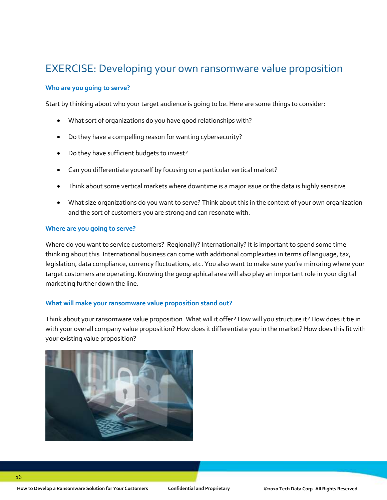### EXERCISE: Developing your own ransomware value proposition

#### **Who are you going to serve?**

Start by thinking about who your target audience is going to be. Here are some things to consider:

- What sort of organizations do you have good relationships with?
- Do they have a compelling reason for wanting cybersecurity?
- Do they have sufficient budgets to invest?
- Can you differentiate yourself by focusing on a particular vertical market?
- Think about some vertical markets where downtime is a major issue or the data is highly sensitive.
- What size organizations do you want to serve? Think about this in the context of your own organization and the sort of customers you are strong and can resonate with.

#### **Where are you going to serve?**

Where do you want to service customers? Regionally? Internationally? It is important to spend some time thinking about this. International business can come with additional complexities in terms of language, tax, legislation, data compliance, currency fluctuations, etc. You also want to make sure you're mirroring where your target customers are operating. Knowing the geographical area will also play an important role in your digital marketing further down the line.

#### **What will make your ransomware value proposition stand out?**

Think about your ransomware value proposition. What will it offer? How will you structure it? How does it tie in with your overall company value proposition? How does it differentiate you in the market? How does this fit with your existing value proposition?

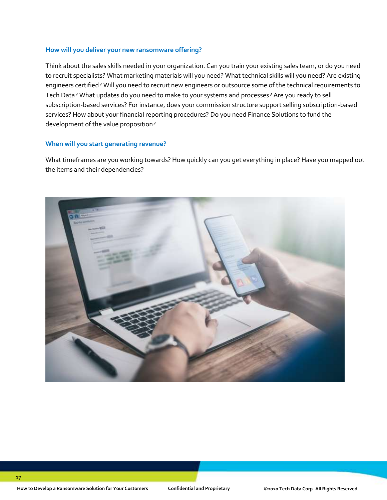#### **How will you deliver your new ransomware offering?**

Think about the sales skills needed in your organization. Can you train your existing sales team, or do you need to recruit specialists? What marketing materials will you need? What technical skills will you need? Are existing engineers certified? Will you need to recruit new engineers or outsource some of the technical requirements to Tech Data? What updates do you need to make to your systems and processes? Are you ready to sell subscription-based services? For instance, does your commission structure support selling subscription-based services? How about your financial reporting procedures? Do you need Finance Solutions to fund the development of the value proposition?

#### **When will you start generating revenue?**

What timeframes are you working towards? How quickly can you get everything in place? Have you mapped out the items and their dependencies?